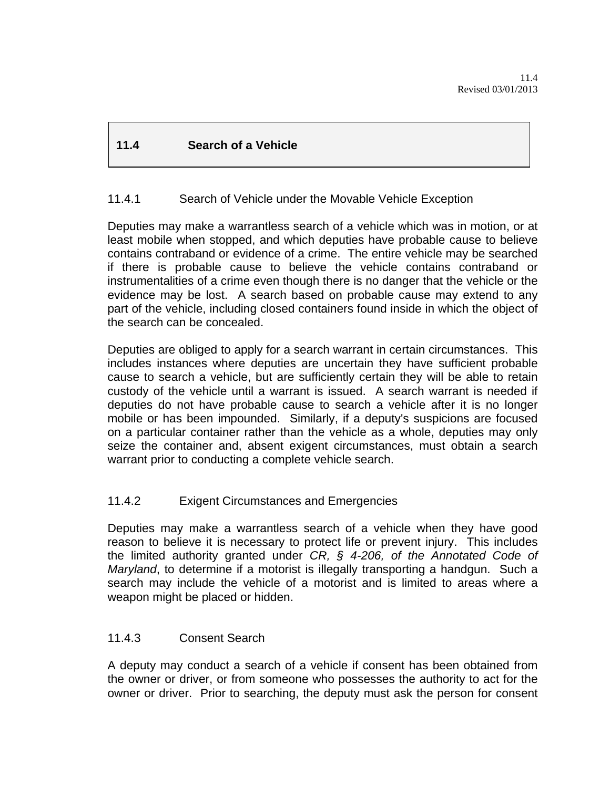# **11.4 Search of a Vehicle**

## 11.4.1 Search of Vehicle under the Movable Vehicle Exception

Deputies may make a warrantless search of a vehicle which was in motion, or at least mobile when stopped, and which deputies have probable cause to believe contains contraband or evidence of a crime. The entire vehicle may be searched if there is probable cause to believe the vehicle contains contraband or instrumentalities of a crime even though there is no danger that the vehicle or the evidence may be lost.A search based on probable cause may extend to any part of the vehicle, including closed containers found inside in which the object of the search can be concealed.

Deputies are obliged to apply for a search warrant in certain circumstances. This includes instances where deputies are uncertain they have sufficient probable cause to search a vehicle, but are sufficiently certain they will be able to retain custody of the vehicle until a warrant is issued. A search warrant is needed if deputies do not have probable cause to search a vehicle after it is no longer mobile or has been impounded. Similarly, if a deputy's suspicions are focused on a particular container rather than the vehicle as a whole, deputies may only seize the container and, absent exigent circumstances, must obtain a search warrant prior to conducting a complete vehicle search.

## 11.4.2 Exigent Circumstances and Emergencies

Deputies may make a warrantless search of a vehicle when they have good reason to believe it is necessary to protect life or prevent injury. This includes the limited authority granted under *CR, § 4-206, of the Annotated Code of Maryland*, to determine if a motorist is illegally transporting a handgun. Such a search may include the vehicle of a motorist and is limited to areas where a weapon might be placed or hidden.

## 11.4.3 Consent Search

A deputy may conduct a search of a vehicle if consent has been obtained from the owner or driver, or from someone who possesses the authority to act for the owner or driver. Prior to searching, the deputy must ask the person for consent